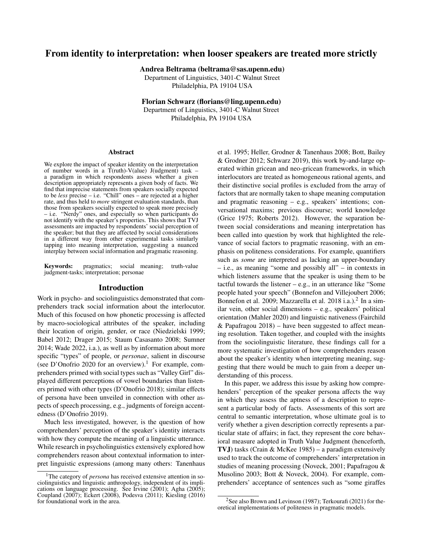# From identity to interpretation: when looser speakers are treated more strictly

Andrea Beltrama (beltrama@sas.upenn.edu)

Department of Linguistics, 3401-C Walnut Street Philadelphia, PA 19104 USA

Florian Schwarz (florians@ling.upenn.edu)

Department of Linguistics, 3401-C Walnut Street Philadelphia, PA 19104 USA

#### Abstract

We explore the impact of speaker identity on the interpretation of number words in a  $\hat{T}$ (ruth)-V(alue) J(udgment) task – a paradigm in which respondents assess whether a given description appropriately represents a given body of facts. We find that imprecise statements from speakers socially expected to be *less* precise – i.e. "Chill" ones – are rejected at a higher rate, and thus held to *more* stringent evaluation standards, than those from speakers socially expected to speak more precisely – i.e. "Nerdy" ones, and especially so when participants do not identify with the speaker's properties. This shows that TVJ assessments are impacted by respondents' social perception of the speaker; but that they are affected by social considerations in a different way from other experimental tasks similarly tapping into meaning interpretation, suggesting a nuanced interplay between social information and pragmatic reasoning.

Keywords: pragmatics; social meaning; truth-value judgment-tasks; interpretation; personae

### Introduction

Work in psycho- and sociolinguistics demonstrated that comprehenders track social information about the interlocutor. Much of this focused on how phonetic processing is affected by macro-sociological attributes of the speaker, including their location of origin, gender, or race (Niedzielski 1999; Babel 2012; Drager 2015; Staum Casasanto 2008; Sumner 2014; Wade 2022, i.a.), as well as by information about more specific "types" of people, or *personae*, salient in discourse (see D'Onofrio 2020 for an overview).<sup>1</sup> For example, comprehenders primed with social types such as "Valley Girl" displayed different perceptions of vowel boundaries than listeners primed with other types (D'Onofrio 2018); similar effects of persona have been unveiled in connection with other aspects of speech processing, e.g., judgments of foreign accentedness (D'Onofrio 2019).

Much less investigated, however, is the question of how comprehenders' perception of the speaker's identity interacts with how they compute the meaning of a linguistic utterance. While research in psycholinguistics extensively explored how comprehenders reason about contextual information to interpret linguistic expressions (among many others: Tanenhaus et al. 1995; Heller, Grodner & Tanenhaus 2008; Bott, Bailey & Grodner 2012; Schwarz 2019), this work by-and-large operated within gricean and neo-gricean frameworks, in which interlocutors are treated as homogeneous rational agents, and their distinctive social profiles is excluded from the array of factors that are normally taken to shape meaning computation and pragmatic reasoning – e.g., speakers' intentions; conversational maxims; previous discourse; world knowledge (Grice 1975; Roberts 2012). However, the separation between social considerations and meaning interpretation has been called into question by work that highlighted the relevance of social factors to pragmatic reasoning, with an emphasis on politeness considerations. For example, quantifiers such as *some* are interpreted as lacking an upper-boundary – i.e., as meaning "some and possibly all" – in contexts in which listeners assume that the speaker is using them to be tactful towards the listener  $-$  e.g., in an utterance like "Some people hated your speech" (Bonnefon and Villejoubert 2006; Bonnefon et al. 2009; Mazzarella et al. 2018 i.a.).<sup>2</sup> In a similar vein, other social dimensions – e.g., speakers' political orientation (Mahler 2020) and linguistic nativeness (Fairchild & Papafragou 2018) – have been suggested to affect meaning resolution. Taken together, and coupled with the insights from the sociolinguistic literature, these findings call for a more systematic investigation of how comprehenders reason about the speaker's identity when interpreting meaning, suggesting that there would be much to gain from a deeper understanding of this process.

In this paper, we address this issue by asking how comprehenders' perception of the speaker persona affects the way in which they assess the aptness of a description to represent a particular body of facts. Assessments of this sort are central to semantic interpretation, whose ultimate goal is to verify whether a given description correctly represents a particular state of affairs; in fact, they represent the core behavioral measure adopted in Truth Value Judgment (henceforth, TVJ) tasks (Crain & McKee 1985) – a paradigm extensively used to track the outcome of comprehenders' interpretation in studies of meaning processing (Noveck, 2001; Papafragou & Musolino 2003; Bott & Noveck, 2004). For example, comprehenders' acceptance of sentences such as "some giraffes

<sup>&</sup>lt;sup>1</sup>The category of *persona* has received extensive attention in sociolinguistics and linguistic anthropology, independent of its implications on language processing. See Irvine (2001); Agha (2005); Coupland (2007); Eckert (2008), Podesva (2011); Kiesling (2016) for foundational work in the area.

<sup>&</sup>lt;sup>2</sup>See also Brown and Levinson (1987); Terkourafi (2021) for theoretical implementations of politeness in pragmatic models.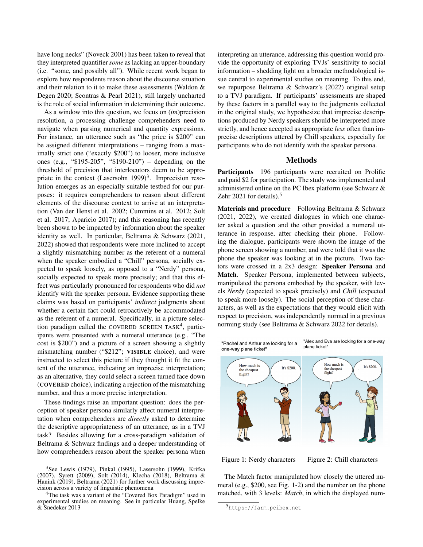have long necks" (Noveck 2001) has been taken to reveal that they interpreted quantifier *some* as lacking an upper-boundary (i.e. "some, and possibly all"). While recent work began to explore how respondents reason about the discourse situation and their relation to it to make these assessments (Waldon & Degen 2020; Scontras & Pearl 2021), still largely uncharted is the role of social information in determining their outcome.

As a window into this question, we focus on (*im*)precision resolution, a processing challenge comprehenders need to navigate when parsing numerical and quantity expressions. For instance, an utterance such as "the price is \$200" can be assigned different interpretations – ranging from a maximally strict one ("exactly \$200") to looser, more inclusive ones (e.g., "\$195-205", "\$190-210") – depending on the threshold of precision that interlocutors deem to be appropriate in the context (Lasersohn 1999)<sup>3</sup>. Imprecision resolution emerges as an especially suitable testbed for our purposes: it requires comprehenders to reason about different elements of the discourse context to arrive at an interpretation (Van der Henst et al. 2002; Cummins et al. 2012; Solt et al. 2017; Aparicio 2017); and this reasoning has recently been shown to be impacted by information about the speaker identity as well. In particular, Beltrama & Schwarz (2021, 2022) showed that respondents were more inclined to accept a slightly mismatching number as the referent of a numeral when the speaker embodied a "Chill" persona, socially expected to speak loosely, as opposed to a "Nerdy" persona, socially expected to speak more precisely; and that this effect was particularly pronounced for respondents who did *not* identify with the speaker persona. Evidence supporting these claims was based on participants' *indirect* judgments about whether a certain fact could retroactively be accommodated as the referent of a numeral. Specifically, in a picture selection paradigm called the COVERED SCREEN TASK<sup>4</sup>, participants were presented with a numeral utterance (e.g., "The cost is \$200") and a picture of a screen showing a slightly mismatching number ("\$212"; VISIBLE choice), and were instructed to select this picture if they thought it fit the content of the utterance, indicating an imprecise interpretation; as an alternative, they could select a screen turned face down (COVERED choice), indicating a rejection of the mismatching number, and thus a more precise interpretation.

These findings raise an important question: does the perception of speaker persona similarly affect numeral interpretation when comprehenders are *directly* asked to determine the descriptive appropriateness of an utterance, as in a TVJ task? Besides allowing for a cross-paradigm validation of Beltrama & Schwarz findings and a deeper understanding of how comprehenders reason about the speaker persona when interpreting an utterance, addressing this question would provide the opportunity of exploring TVJs' sensitivity to social information – shedding light on a broader methodological issue central to experimental studies on meaning. To this end, we repurpose Beltrama & Schwarz's (2022) original setup to a TVJ paradigm. If participants' assessments are shaped by these factors in a parallel way to the judgments collected in the original study, we hypothesize that imprecise descriptions produced by Nerdy speakers should be interpreted more strictly, and hence accepted as appropriate *less* often than imprecise descriptions uttered by Chill speakers, especially for participants who do not identify with the speaker persona.

#### Methods

Participants 196 participants were recruited on Prolific and paid \$2 for participation. The study was implemented and administered online on the PC Ibex platform (see Schwarz & Zehr 2021 for details). $5$ 

Materials and procedure Following Beltrama & Schwarz (2021, 2022), we created dialogues in which one character asked a question and the other provided a numeral utterance in response, after checking their phone. Following the dialogue, participants were shown the image of the phone screen showing a number, and were told that it was the phone the speaker was looking at in the picture. Two factors were crossed in a 2x3 design: Speaker Persona and Match. Speaker Persona, implemented between subjects, manipulated the persona embodied by the speaker, with levels *Nerdy* (expected to speak precisely) and *Chill* (expected to speak more loosely). The social perception of these characters, as well as the expectations that they would elicit with respect to precision, was independently normed in a previous norming study (see Beltrama & Schwarz 2022 for details).



Figure 1: Nerdy characters Figure 2: Chill characters

The Match factor manipulated how closely the uttered numeral (e.g., \$200, see Fig. 1-2) and the number on the phone matched, with 3 levels: *Match*, in which the displayed num-

<sup>3</sup>See Lewis (1979), Pinkal (1995), Lasersohn (1999), Krifka (2007), Syrett (2009), Solt (2014), Klecha (2018), Beltrama & Hanink (2019), Beltrama (2021) for further work discussing imprecision across a variety of linguistic phenomena

<sup>&</sup>lt;sup>4</sup>The task was a variant of the "Covered Box Paradigm" used in experimental studies on meaning. See in particular Huang, Spelke & Snedeker 2013

<sup>5</sup>https://farm.pcibex.net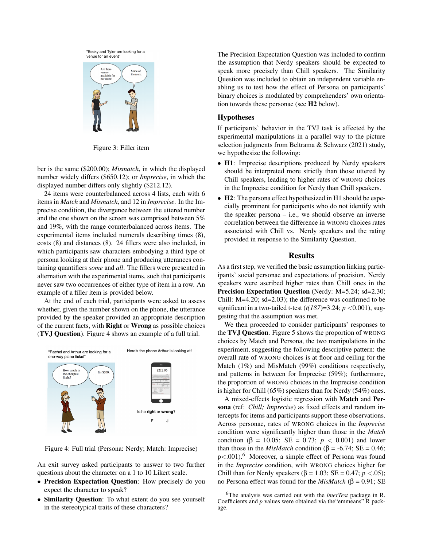"Becky and Tyler are looking for a venue for an event"



Figure 3: Filler item

ber is the same (\$200.00); *Mismatch*, in which the displayed number widely differs (\$650.12); or *Imprecise*, in which the displayed number differs only slightly (\$212.12).

24 items were counterbalanced across 4 lists, each with 6 items in *Match* and *Mismatch*, and 12 in *Imprecise*. In the Imprecise condition, the divergence between the uttered number and the one shown on the screen was comprised between 5% and 19%, with the range counterbalanced across items. The experimental items included numerals describing times (8), costs (8) and distances (8). 24 fillers were also included, in which participants saw characters embodying a third type of persona looking at their phone and producing utterances containing quantifiers *some* and *all*. The fillers were presented in alternation with the experimental items, such that participants never saw two occurrences of either type of item in a row. An example of a filler item is provided below.

At the end of each trial, participants were asked to assess whether, given the number shown on the phone, the utterance provided by the speaker provided an appropriate description of the current facts, with Right or Wrong as possible choices (TVJ Question). Figure 4 shows an example of a full trial.



Figure 4: Full trial (Persona: Nerdy; Match: Imprecise)

An exit survey asked participants to answer to two further questions about the character on a 1 to 10 Likert scale.

- Precision Expectation Question: How precisely do you expect the character to speak?
- Similarity Question: To what extent do you see yourself in the stereotypical traits of these characters?

The Precision Expectation Question was included to confirm the assumption that Nerdy speakers should be expected to speak more precisely than Chill speakers. The Similarity Question was included to obtain an independent variable enabling us to test how the effect of Persona on participants' binary choices is modulated by comprehenders' own orientation towards these personae (see H2 below).

# Hypotheses

If participants' behavior in the TVJ task is affected by the experimental manipulations in a parallel way to the picture selection judgments from Beltrama & Schwarz (2021) study, we hypothesize the following:

- H1: Imprecise descriptions produced by Nerdy speakers should be interpreted more strictly than those uttered by Chill speakers, leading to higher rates of WRONG choices in the Imprecise condition for Nerdy than Chill speakers.
- H2: The persona effect hypothesized in H1 should be especially prominent for participants who do not identify with the speaker persona  $-$  i.e., we should observe an inverse correlation between the difference in WRONG choices rates associated with Chill vs. Nerdy speakers and the rating provided in response to the Similarity Question.

# **Results**

As a first step, we verified the basic assumption linking participants' social personae and expectations of precision. Nerdy speakers were ascribed higher rates than Chill ones in the Precision Expectation Question (Nerdy: M=5.24; sd=2.30; Chill: M=4.20; sd=2.03); the difference was confirmed to be significant in a two-tailed t-test  $(t/187)=3.24$ ;  $p < 0.001$ ), suggesting that the assumption was met.

We then proceeded to consider participants' responses to the TVJ Question. Figure 5 shows the proportion of WRONG choices by Match and Persona, the two manipulations in the experiment, suggesting the following descriptive pattern: the overall rate of WRONG choices is at floor and ceiling for the Match (1%) and MisMatch (99%) conditions respectively, and patterns in between for Imprecise (59%); furthermore, the proportion of WRONG choices in the Imprecise condition is higher for Chill (65%) speakers than for Nerdy (54%) ones.

A mixed-effects logistic regression with Match and Persona (ref: *Chill; Imprecise*) as fixed effects and random intercepts for items and participants support these observations. Across personae, rates of WRONG choices in the *Imprecise* condition were significantly higher than those in the *Match* condition (β = 10.05; SE = 0.73; *p* < 0.001) and lower than those in the *MisMatch* condition ( $\beta$  = -6.74; SE = 0.46;  $p < .001$ .<sup>6</sup> Moreover, a simple effect of Persona was found in the *Imprecise* condition, with WRONG choices higher for Chill than for Nerdy speakers (β = 1.03; SE = 0.47; *p* <.05); no Persona effect was found for the *MisMatch* (β = 0.91; SE

<sup>6</sup>The analysis was carried out with the *lmerTest* package in R. Coefficients and *p* values were obtained via the"emmeans" R package.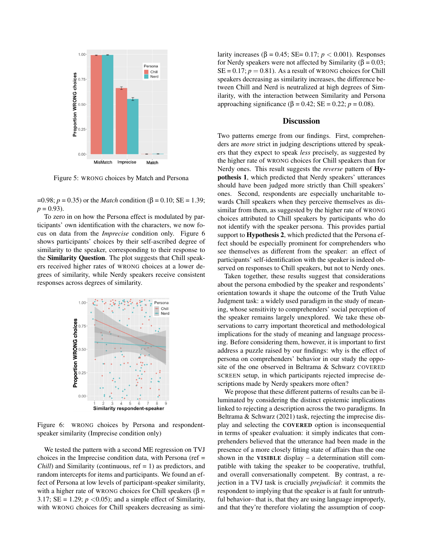

Figure 5: WRONG choices by Match and Persona

 $=0.98$ ; *p* = 0.35) or the *Match* condition (β = 0.10; SE = 1.39;  $p = 0.93$ .

To zero in on how the Persona effect is modulated by participants' own identification with the characters, we now focus on data from the *Imprecise* condition only. Figure 6 shows participants' choices by their self-ascribed degree of similarity to the speaker, corresponding to their response to the Similarity Question. The plot suggests that Chill speakers received higher rates of WRONG choices at a lower degrees of similarity, while Nerdy speakers receive consistent responses across degrees of similarity.



Figure 6: WRONG choices by Persona and respondentspeaker similarity (Imprecise condition only)

We tested the pattern with a second ME regression on TVJ choices in the Imprecise condition data, with Persona (ref = *Chill*) and Similarity (continuous, ref = 1) as predictors, and random intercepts for items and participants. We found an effect of Persona at low levels of participant-speaker similarity, with a higher rate of WRONG choices for Chill speakers ( $\beta$  = 3.17;  $SE = 1.29$ ;  $p < 0.05$ ); and a simple effect of Similarity, with WRONG choices for Chill speakers decreasing as similarity increases  $(\beta = 0.45; SE = 0.17; p < 0.001)$ . Responses for Nerdy speakers were not affected by Similarity (β = 0.03;  $SE = 0.17$ ;  $p = 0.81$ ). As a result of WRONG choices for Chill speakers decreasing as similarity increases, the difference between Chill and Nerd is neutralized at high degrees of Similarity, with the interaction between Similarity and Persona approaching significance (β = 0.42; SE = 0.22; *p* = 0.08).

# **Discussion**

Two patterns emerge from our findings. First, comprehenders are *more* strict in judging descriptions uttered by speakers that they expect to speak *less* precisely, as suggested by the higher rate of WRONG choices for Chill speakers than for Nerdy ones. This result suggests the *reverse* pattern of Hypothesis 1, which predicted that Nerdy speakers' utterances should have been judged more strictly than Chill speakers' ones. Second, respondents are especially uncharitable towards Chill speakers when they perceive themselves as dissimilar from them, as suggested by the higher rate of WRONG choices attributed to Chill speakers by participants who do not identify with the speaker persona. This provides partial support to **Hypothesis 2**, which predicted that the Persona effect should be especially prominent for comprehenders who see themselves as different from the speaker: an effect of participants' self-identification with the speaker is indeed observed on responses to Chill speakers, but not to Nerdy ones.

Taken together, these results suggest that considerations about the persona embodied by the speaker and respondents' orientation towards it shape the outcome of the Truth Value Judgment task: a widely used paradigm in the study of meaning, whose sensitivity to comprehenders' social perception of the speaker remains largely unexplored. We take these observations to carry important theoretical and methodological implications for the study of meaning and language processing. Before considering them, however, it is important to first address a puzzle raised by our findings: why is the effect of persona on comprehenders' behavior in our study the opposite of the one observed in Beltrama & Schwarz COVERED SCREEN setup, in which participants rejected imprecise descriptions made by Nerdy speakers more often?

We propose that these different patterns of results can be illuminated by considering the distinct epistemic implications linked to rejecting a description across the two paradigms. In Beltrama & Schwarz (2021) task, rejecting the imprecise display and selecting the COVERED option is inconsequential in terms of speaker evaluation: it simply indicates that comprehenders believed that the utterance had been made in the presence of a more closely fitting state of affairs than the one shown in the VISIBLE display – a determination still compatible with taking the speaker to be cooperative, truthful, and overall conversationally competent. By contrast, a rejection in a TVJ task is crucially *prejudicial*: it commits the respondent to implying that the speaker is at fault for untruthful behavior– that is, that they are using language improperly, and that they're therefore violating the assumption of coop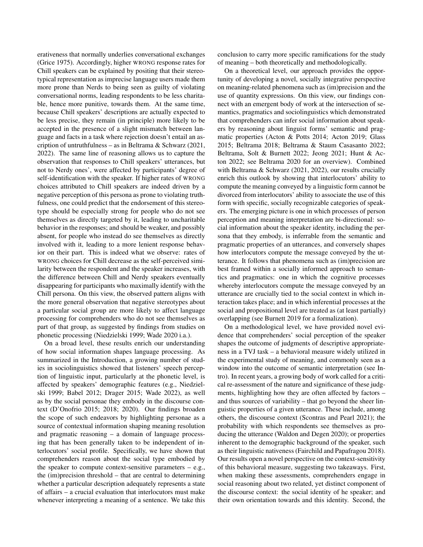erativeness that normally underlies conversational exchanges (Grice 1975). Accordingly, higher WRONG response rates for Chill speakers can be explained by positing that their stereotypical representation as imprecise language users made them more prone than Nerds to being seen as guilty of violating conversational norms, leading respondents to be less charitable, hence more punitive, towards them. At the same time, because Chill speakers' descriptions are actually expected to be less precise, they remain (in principle) more likely to be accepted in the presence of a slight mismatch between language and facts in a task where rejection doesn't entail an ascription of untruthfulness – as in Beltrama & Schwarz (2021, 2022). The same line of reasoning allows us to capture the observation that responses to Chill speakers' utterances, but not to Nerdy ones', were affected by participants' degree of self-identification with the speaker. If higher rates of WRONG choices attributed to Chill speakers are indeed driven by a negative perception of this persona as prone to violating truthfulness, one could predict that the endorsement of this stereotype should be especially strong for people who do not see themselves as directly targeted by it, leading to uncharitable behavior in the responses; and should be weaker, and possibly absent, for people who instead do see themselves as directly involved with it, leading to a more lenient response behavior on their part. This is indeed what we observe: rates of WRONG choices for Chill decrease as the self-perceived similarity between the respondent and the speaker increases, with the difference between Chill and Nerdy speakers eventually disappearing for participants who maximally identify with the Chill persona. On this view, the observed pattern aligns with the more general observation that negative stereotypes about a particular social group are more likely to affect language processing for comprehenders who do not see themselves as part of that group, as suggested by findings from studies on phonetic processing (Niedzielski 1999; Wade 2020 i.a.).

On a broad level, these results enrich our understanding of how social information shapes language processing. As summarized in the Introduction, a growing number of studies in sociolinguistics showed that listeners' speech perception of linguistic input, particularly at the phonetic level, is affected by speakers' demographic features (e.g., Niedzielski 1999; Babel 2012; Drager 2015; Wade 2022), as well as by the social personae they embody in the discourse context (D'Onofrio 2015; 2018; 2020). Our findings broaden the scope of such endeavors by highlighting personae as a source of contextual information shaping meaning resolution and pragmatic reasoning – a domain of language processing that has been generally taken to be independent of interlocutors' social profile. Specifically, we have shown that comprehenders reason about the social type embodied by the speaker to compute context-sensitive parameters  $-$  e.g., the (im)precision threshold – that are central to determining whether a particular description adequately represents a state of affairs – a crucial evaluation that interlocutors must make whenever interpreting a meaning of a sentence. We take this conclusion to carry more specific ramifications for the study of meaning – both theoretically and methodologically.

On a theoretical level, our approach provides the opportunity of developing a novel, socially integrative perspective on meaning-related phenomena such as (im)precision and the use of quantity expressions. On this view, our findings connect with an emergent body of work at the intersection of semantics, pragmatics and sociolinguistics which demonstrated that comprehenders can infer social information about speakers by reasoning about linguist forms' semantic and pragmatic properties (Acton & Potts 2014; Acton 2019; Glass 2015; Beltrama 2018; Beltrama & Staum Casasanto 2022; Beltrama, Solt & Burnett 2022; Jeong 2021; Hunt & Acton 2022; see Beltrama 2020 for an overview). Combined with Beltrama & Schwarz (2021, 2022), our results crucially enrich this outlook by showing that interlocutors' ability to compute the meaning conveyed by a linguistic form cannot be divorced from interlocutors' ability to associate the use of this form with specific, socially recognizable categories of speakers. The emerging picture is one in which processes of person perception and meaning interpretation are bi-directional: social information about the speaker identity, including the persona that they embody, is inferrable from the semantic and pragmatic properties of an utterances, and conversely shapes how interlocutors compute the message conveyed by the utterance. It follows that phenomena such as (im)precision are best framed within a socially informed approach to semantics and pragmatics: one in which the cognitive processes whereby interlocutors compute the message conveyed by an utterance are crucially tied to the social context in which interaction takes place; and in which inferential processes at the social and propositional level are treated as (at least partially) overlapping (see Burnett 2019 for a formalization).

On a methodological level, we have provided novel evidence that comprehenders' social perception of the speaker shapes the outcome of judgments of descriptive appropriateness in a TVJ task – a behavioral measure widely utilized in the experimental study of meaning, and commonly seen as a window into the outcome of semantic interpretation (see Intro). In recent years, a growing body of work called for a critical re-assessment of the nature and significance of these judgments, highlighting how they are often affected by factors – and thus sources of variability – that go beyond the sheer linguistic properties of a given utterance. These include, among others, the discourse context (Scontras and Pearl 2021); the probability with which respondents see themselves as producing the utterance (Waldon and Degen 2020); or properties inherent to the demographic background of the speaker, such as their linguistic nativeness (Fairchild and Papafragou 2018). Our results open a novel perspective on the context-sensitivity of this behavioral measure, suggesting two takeaways. First, when making these assessments, comprehenders engage in social reasoning about two related, yet distinct component of the discourse context: the social identity of he speaker; and their own orientation towards and this identity. Second, the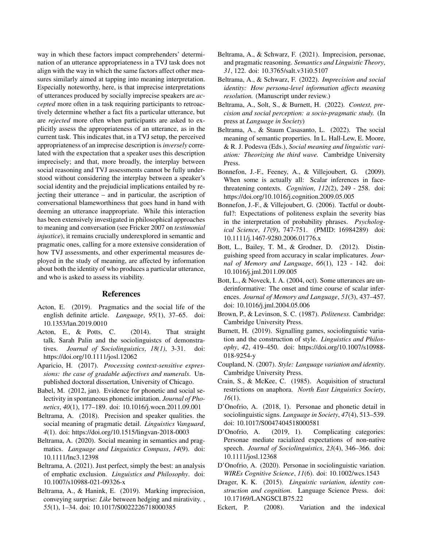way in which these factors impact comprehenders' determination of an utterance appropriateness in a TVJ task does not align with the way in which the same factors affect other measures similarly aimed at tapping into meaning interpretation. Especially noteworthy, here, is that imprecise interpretations of utterances produced by socially imprecise speakers are *accepted* more often in a task requiring participants to retroactively determine whether a fact fits a particular utterance, but are *rejected* more often when participants are asked to explicitly assess the appropriateness of an utterance, as in the current task. This indicates that, in a TVJ setup, the perceived appropriateness of an imprecise description is *inversely* correlated with the expectation that a speaker uses this description imprecisely; and that, more broadly, the interplay between social reasoning and TVJ assessments cannot be fully understood without considering the interplay between a speaker's social identity and the prejudicial implications entailed by rejecting their utterance – and in particular, the ascription of conversational blameworthiness that goes hand in hand with deeming an utterance inappropriate. While this interaction has been extensively investigated in philosophical approaches to meaning and conversation (see Fricker 2007 on *testimonial injustice*), it remains crucially underexplored in semantic and pragmatic ones, calling for a more extensive consideration of how TVJ assessments, and other experimental measures deployed in the study of meaning, are affected by information about both the identity of who produces a particular utterance, and who is asked to assess its viability.

### References

- Acton, E. (2019). Pragmatics and the social life of the english definite article. *Language*, *95*(1), 37–65. doi: 10.1353/lan.2019.0010
- Acton, E., & Potts, C. (2014). That straight talk. Sarah Palin and the sociolinguistcs of demonstratives. *Journal of Sociolinguistics*, *18(1)*, 3-31. doi: https://doi.org/10.1111/josl.12062
- Aparicio, H. (2017). *Processing context-sensitive expressions: the case of gradable adjectives and numerals*. Unpublished doctoral dissertation, University of Chicago.
- Babel, M. (2012, jan). Evidence for phonetic and social selectivity in spontaneous phonetic imitation. *Journal of Phonetics*, *40*(1), 177–189. doi: 10.1016/j.wocn.2011.09.001
- Beltrama, A. (2018). Precision and speaker qualities. the social meaning of pragmatic detail. *Linguistics Vanguard*, *4*(1). doi: https://doi.org/10.1515/lingvan-2018-0003
- Beltrama, A. (2020). Social meaning in semantics and pragmatics. *Language and Linguistics Compass*, *14*(9). doi: 10.1111/lnc3.12398
- Beltrama, A. (2021). Just perfect, simply the best: an analysis of emphatic exclusion. *Linguistics and Philosophy*. doi: 10.1007/s10988-021-09326-x
- Beltrama, A., & Hanink, E. (2019). Marking imprecision, conveying surprise: *Like* between hedging and mirativity. , *55*(1), 1–34. doi: 10.1017/S0022226718000385
- Beltrama, A., & Schwarz, F. (2021). Imprecision, personae, and pragmatic reasoning. *Semantics and Linguistic Theory*, *31*, 122. doi: 10.3765/salt.v31i0.5107
- Beltrama, A., & Schwarz, F. (2022). *Imprecision and social identity: How persona-level information affects meaning resolution.* (Manuscript under review.)
- Beltrama, A., Solt, S., & Burnett, H. (2022). *Context, precision and social perception: a socio-pragmatic study.* (In press at *Language in Society*)
- Beltrama, A., & Staum Casasanto, L. (2022). The social meaning of semantic properties. In L. Hall-Lew, E. Moore, & R. J. Podesva (Eds.), *Social meaning and linguistic variation: Theorizing the third wave.* Cambridge University Press.
- Bonnefon, J.-F., Feeney, A., & Villejoubert, G. (2009). When some is actually all: Scalar inferences in facethreatening contexts. *Cognition*, *112*(2), 249 - 258. doi: https://doi.org/10.1016/j.cognition.2009.05.005
- Bonnefon, J.-F., & Villejoubert, G. (2006). Tactful or doubtful?: Expectations of politeness explain the severity bias in the interpretation of probability phrases. *Psychological Science*, *17*(9), 747-751. (PMID: 16984289) doi: 10.1111/j.1467-9280.2006.01776.x
- Bott, L., Bailey, T. M., & Grodner, D. (2012). Distinguishing speed from accuracy in scalar implicatures. *Journal of Memory and Language*, *66*(1), 123 - 142. doi: 10.1016/j.jml.2011.09.005
- Bott, L., & Noveck, I. A. (2004, oct). Some utterances are underinformative: The onset and time course of scalar inferences. *Journal of Memory and Language*, *51*(3), 437–457. doi: 10.1016/j.jml.2004.05.006
- Brown, P., & Levinson, S. C. (1987). *Politeness*. Cambridge: Cambridge University Press.
- Burnett, H. (2019). Signalling games, sociolinguistic variation and the construction of style. *Linguistics and Philosophy*, *42*, 419–450. doi: https://doi.org/10.1007/s10988- 018-9254-y
- Coupland, N. (2007). *Style: Language variation and identity*. Cambridge University Press.
- Crain, S., & McKee, C. (1985). Acquisition of structural restrictions on anaphora. *North East Linguistics Society*, *16*(1).
- D'Onofrio, A. (2018, 1). Personae and phonetic detail in sociolinguistic signs. *Language in Society*, *47*(4), 513–539. doi: 10.1017/S0047404518000581
- D'Onofrio, A. (2019, 1). Complicating categories: Personae mediate racialized expectations of non-native speech. *Journal of Sociolinguistics*, *23*(4), 346–366. doi: 10.1111/josl.12368
- D'Onofrio, A. (2020). Personae in sociolinguistic variation. *WIREs Cognitive Science*, *11*(6). doi: 10.1002/wcs.1543
- Drager, K. K. (2015). *Linguistic variation, identity construction and cognition*. Language Science Press. doi: 10.17169/LANGSCI.B75.22
- Eckert, P. (2008). Variation and the indexical